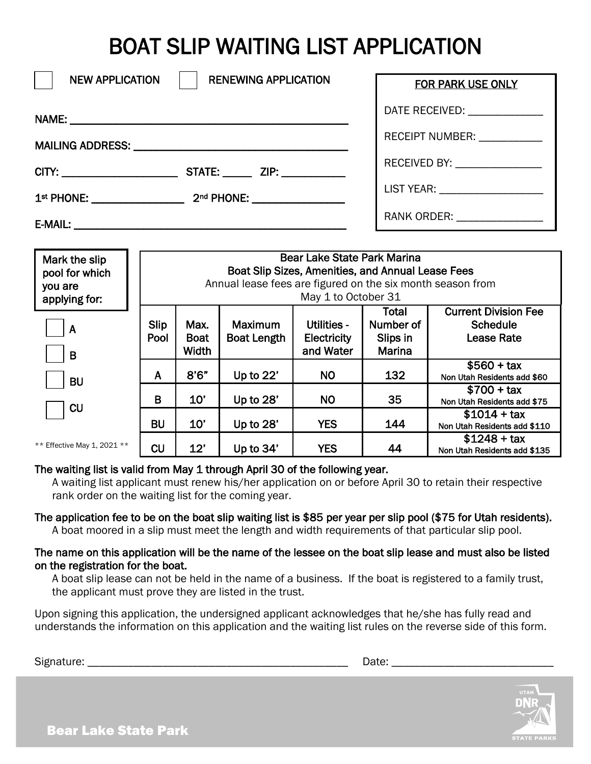# BOAT SLIP WAITING LIST APPLICATION

| <b>NEW APPLICATION</b>                                      |                                                                                                                                                                              |      | <b>RENEWING APPLICATION</b> |                                |                                  | <b>FOR PARK USE ONLY</b>                       |  |  |
|-------------------------------------------------------------|------------------------------------------------------------------------------------------------------------------------------------------------------------------------------|------|-----------------------------|--------------------------------|----------------------------------|------------------------------------------------|--|--|
|                                                             |                                                                                                                                                                              |      |                             |                                |                                  | DATE RECEIVED: ______________                  |  |  |
|                                                             |                                                                                                                                                                              |      |                             |                                |                                  | RECEIPT NUMBER: ____________                   |  |  |
|                                                             |                                                                                                                                                                              |      |                             | RECEIVED BY: _________________ |                                  |                                                |  |  |
|                                                             |                                                                                                                                                                              |      |                             |                                |                                  |                                                |  |  |
|                                                             |                                                                                                                                                                              |      |                             |                                |                                  | RANK ORDER: _________________                  |  |  |
| Mark the slip<br>pool for which<br>you are<br>applying for: | <b>Bear Lake State Park Marina</b><br>Boat Slip Sizes, Amenities, and Annual Lease Fees<br>Annual lease fees are figured on the six month season from<br>May 1 to October 31 |      |                             |                                |                                  |                                                |  |  |
| $\overline{\phantom{a}}$                                    | <b>Slip</b>                                                                                                                                                                  | Max. | Maximum                     |                                | Total<br>Utilities -   Number of | <b>Current Division Fee</b><br><b>Schedule</b> |  |  |

### The waiting list is valid from May 1 through April 30 of the following year.

A waiting list applicant must renew his/her application on or before April 30 to retain their respective rank order on the waiting list for the coming year.

**Electricity** and Water Slips in Marina

Lease Rate

 $$560 + tax$ Non Utah Residents add \$60

\$700 + tax Non Utah Residents add \$75

 $$1014 + tax$ Non Utah Residents add \$110

\$1248 + tax Non Utah Residents add \$135

## The application fee to be on the boat slip waiting list is \$85 per year per slip pool (\$75 for Utah residents).

A boat moored in a slip must meet the length and width requirements of that particular slip pool.

### The name on this application will be the name of the lessee on the boat slip lease and must also be listed on the registration for the boat.

A boat slip lease can not be held in the name of a business. If the boat is registered to a family trust, the applicant must prove they are listed in the trust.

Upon signing this application, the undersigned applicant acknowledges that he/she has fully read and understands the information on this application and the waiting list rules on the reverse side of this form.

Signature: \_\_\_\_\_\_\_\_\_\_\_\_\_\_\_\_\_\_\_\_\_\_\_\_\_\_\_\_\_\_\_\_\_\_\_\_\_\_\_\_\_\_\_\_\_ Date: \_\_\_\_\_\_\_\_\_\_\_\_\_\_\_\_\_\_\_\_\_\_\_\_\_\_\_\_

A

B

Pool

Boat **Width**  Boat Length

A | 8'6" | Up to 22' | NO | 132

B | 10' | Up to 28' | NO | 35

BU | 10' | Up to 28' | YES | 144

CU 12' Up to 34' YES 44

BU

**CU** 

\*\* Effective May 1, 2021 \*\*



Bear Lake State Park